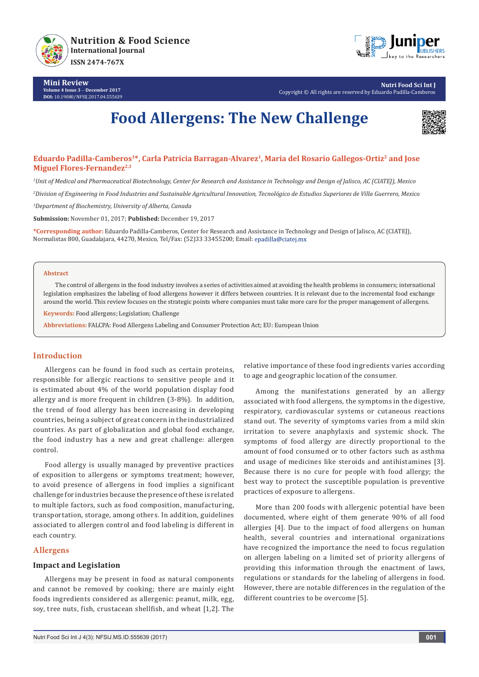

**Mini Review Volume 4 Issue 3** - **December 2017 DOI:** [10.19080/NFSIJ.2017.04.55563](http://dx.doi.org/10.19080/NFSIJ.2017.04.555639)9



**Nutri Food Sci Int J** Copyright © All rights are reserved by Eduardo Padilla-Cambero

# **Food Allergens: The New Challenge**



# **Eduardo Padilla-Camberos1\*, Carla Patricia Barragan-Alvarez1, Maria del Rosario Gallegos-Ortiz2 and Jose Miguel Flores-Fernandez**<sup>2,3</sup>

*1 Unit of Medical and Pharmaceutical Biotechnology, Center for Research and Assistance in Technology and Design of Jalisco, AC (CIATEJ), Mexico*

*2 Division of Engineering in Food Industries and Sustainable Agricultural Innovation, Tecnológico de Estudios Superiores de Villa Guerrero, Mexico*

*3 Department of Biochemistry, University of Alberta, Canada*

**Submission:** November 01, 2017; **Published:** December 19, 2017

**\*Corresponding author:** Eduardo Padilla-Camberos, Center for Research and Assistance in Technology and Design of Jalisco, AC (CIATEJ), Normalistas 800, Guadalajara, 44270, Mexico, Tel/Fax: (52)33 33455200; Email:

#### **Abstract**

The control of allergens in the food industry involves a series of activities aimed at avoiding the health problems in consumers; international legislation emphasizes the labeling of food allergens however it differs between countries. It is relevant due to the incremental food exchange around the world. This review focuses on the strategic points where companies must take more care for the proper management of allergens.

**Keywords:** Food allergens; Legislation; Challenge

**Abbreviations:** FALCPA: Food Allergens Labeling and Consumer Protection Act; EU: European Union

## **Introduction**

Allergens can be found in food such as certain proteins, responsible for allergic reactions to sensitive people and it is estimated about 4% of the world population display food allergy and is more frequent in children (3-8%). In addition, the trend of food allergy has been increasing in developing countries, being a subject of great concern in the industrialized countries. As part of globalization and global food exchange, the food industry has a new and great challenge: allergen control.

Food allergy is usually managed by preventive practices of exposition to allergens or symptoms treatment; however, to avoid presence of allergens in food implies a significant challenge for industries because the presence of these is related to multiple factors, such as food composition, manufacturing, transportation, storage, among others. In addition, guidelines associated to allergen control and food labeling is different in each country.

## **Allergens**

### **Impact and Legislation**

Allergens may be present in food as natural components and cannot be removed by cooking; there are mainly eight foods ingredients considered as allergenic: peanut, milk, egg, soy, tree nuts, fish, crustacean shellfish, and wheat [1,2]. The

relative importance of these food ingredients varies according to age and geographic location of the consumer.

Among the manifestations generated by an allergy associated with food allergens, the symptoms in the digestive, respiratory, cardiovascular systems or cutaneous reactions stand out. The severity of symptoms varies from a mild skin irritation to severe anaphylaxis and systemic shock. The symptoms of food allergy are directly proportional to the amount of food consumed or to other factors such as asthma and usage of medicines like steroids and antihistamines [3]. Because there is no cure for people with food allergy; the best way to protect the susceptible population is preventive practices of exposure to allergens.

More than 200 foods with allergenic potential have been documented, where eight of them generate 90% of all food allergies [4]. Due to the impact of food allergens on human health, several countries and international organizations have recognized the importance the need to focus regulation on allergen labeling on a limited set of priority allergens of providing this information through the enactment of laws, regulations or standards for the labeling of allergens in food. However, there are notable differences in the regulation of the different countries to be overcome [5].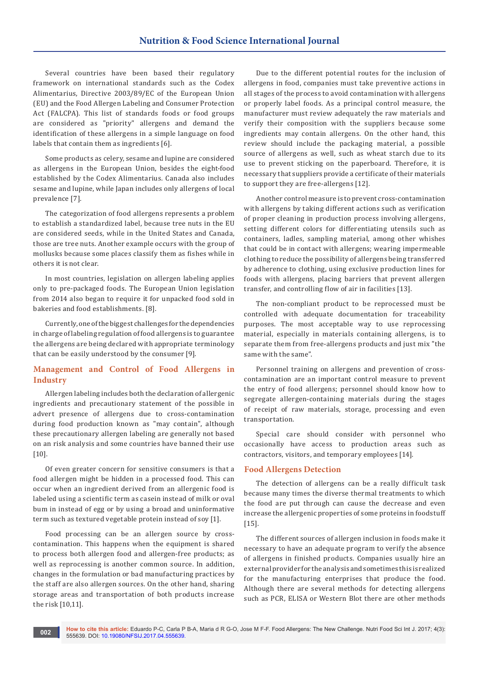Several countries have been based their regulatory framework on international standards such as the Codex Alimentarius, Directive 2003/89/EC of the European Union (EU) and the Food Allergen Labeling and Consumer Protection Act (FALCPA). This list of standards foods or food groups are considered as "priority" allergens and demand the identification of these allergens in a simple language on food labels that contain them as ingredients [6].

Some products as celery, sesame and lupine are considered as allergens in the European Union, besides the eight-food established by the Codex Alimentarius. Canada also includes sesame and lupine, while Japan includes only allergens of local prevalence [7].

The categorization of food allergens represents a problem to establish a standardized label, because tree nuts in the EU are considered seeds, while in the United States and Canada, those are tree nuts. Another example occurs with the group of mollusks because some places classify them as fishes while in others it is not clear.

In most countries, legislation on allergen labeling applies only to pre-packaged foods. The European Union legislation from 2014 also began to require it for unpacked food sold in bakeries and food establishments. [8].

Currently, one of the biggest challenges for the dependencies in charge of labeling regulation of food allergens is to guarantee the allergens are being declared with appropriate terminology that can be easily understood by the consumer [9].

# **Management and Control of Food Allergens in Industry**

Allergen labeling includes both the declaration of allergenic ingredients and precautionary statement of the possible in advert presence of allergens due to cross-contamination during food production known as "may contain", although these precautionary allergen labeling are generally not based on an risk analysis and some countries have banned their use [10].

Of even greater concern for sensitive consumers is that a food allergen might be hidden in a processed food. This can occur when an ingredient derived from an allergenic food is labeled using a scientific term as casein instead of milk or oval bum in instead of egg or by using a broad and uninformative term such as textured vegetable protein instead of soy [1].

Food processing can be an allergen source by crosscontamination. This happens when the equipment is shared to process both allergen food and allergen-free products; as well as reprocessing is another common source. In addition, changes in the formulation or bad manufacturing practices by the staff are also allergen sources. On the other hand, sharing storage areas and transportation of both products increase the risk [10,11].

Due to the different potential routes for the inclusion of allergens in food, companies must take preventive actions in all stages of the process to avoid contamination with allergens or properly label foods. As a principal control measure, the manufacturer must review adequately the raw materials and verify their composition with the suppliers because some ingredients may contain allergens. On the other hand, this review should include the packaging material, a possible source of allergens as well, such as wheat starch due to its use to prevent sticking on the paperboard. Therefore, it is necessary that suppliers provide a certificate of their materials to support they are free-allergens [12].

Another control measure is to prevent cross-contamination with allergens by taking different actions such as verification of proper cleaning in production process involving allergens, setting different colors for differentiating utensils such as containers, ladles, sampling material, among other whishes that could be in contact with allergens; wearing impermeable clothing to reduce the possibility of allergens being transferred by adherence to clothing, using exclusive production lines for foods with allergens, placing barriers that prevent allergen transfer, and controlling flow of air in facilities [13].

The non-compliant product to be reprocessed must be controlled with adequate documentation for traceability purposes. The most acceptable way to use reprocessing material, especially in materials containing allergens, is to separate them from free-allergens products and just mix "the same with the same".

Personnel training on allergens and prevention of crosscontamination are an important control measure to prevent the entry of food allergens; personnel should know how to segregate allergen-containing materials during the stages of receipt of raw materials, storage, processing and even transportation.

Special care should consider with personnel who occasionally have access to production areas such as contractors, visitors, and temporary employees [14].

## **Food Allergens Detection**

The detection of allergens can be a really difficult task because many times the diverse thermal treatments to which the food are put through can cause the decrease and even increase the allergenic properties of some proteins in foodstuff [15].

The different sources of allergen inclusion in foods make it necessary to have an adequate program to verify the absence of allergens in finished products. Companies usually hire an external provider for the analysis and sometimes this is realized for the manufacturing enterprises that produce the food. Although there are several methods for detecting allergens such as PCR, ELISA or Western Blot there are other methods